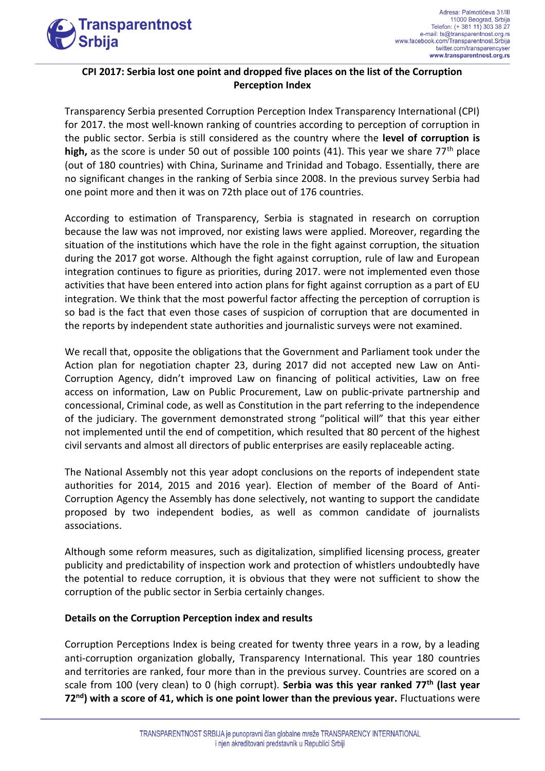

## **CPI 2017: Serbia lost one point and dropped five places on the list of the Corruption Perception Index**

Transparency Serbia presented Corruption Perception Index Transparency International (CPI) for 2017. the most well-known ranking of countries according to perception of corruption in the public sector. Serbia is still considered as the country where the **level of corruption is high,** as the score is under 50 out of possible 100 points (41). This year we share 77<sup>th</sup> place (out of 180 countries) with China, Suriname and Trinidad and Tobago. Essentially, there are no significant changes in the ranking of Serbia since 2008. In the previous survey Serbia had one point more and then it was on 72th place out of 176 countries.

According to estimation of Transparency, Serbia is stagnated in research on corruption because the law was not improved, nor existing laws were applied. Moreover, regarding the situation of the institutions which have the role in the fight against corruption, the situation during the 2017 got worse. Although the fight against corruption, rule of law and European integration continues to figure as priorities, during 2017. were not implemented even those activities that have been entered into action plans for fight against corruption as a part of EU integration. We think that the most powerful factor affecting the perception of corruption is so bad is the fact that even those cases of suspicion of corruption that are documented in the reports by independent state authorities and journalistic surveys were not examined.

We recall that, opposite the obligations that the Government and Parliament took under the Action plan for negotiation chapter 23, during 2017 did not accepted new Law on Anti-Corruption Agency, didn't improved Law on financing of political activities, Law on free access on information, Law on Public Procurement, Law on public-private partnership and concessional, Criminal code, as well as Constitution in the part referring to the independence of the judiciary. The government demonstrated strong "political will" that this year either not implemented until the end of competition, which resulted that 80 percent of the highest civil servants and almost all directors of public enterprises are easily replaceable acting.

The National Assembly not this year adopt conclusions on the reports of independent state authorities for 2014, 2015 and 2016 year). Election of member of the Board of Anti-Corruption Agency the Assembly has done selectively, not wanting to support the candidate proposed by two independent bodies, as well as common candidate of journalists associations.

Although some reform measures, such as digitalization, simplified licensing process, greater publicity and predictability of inspection work and protection of whistlers undoubtedly have the potential to reduce corruption, it is obvious that they were not sufficient to show the corruption of the public sector in Serbia certainly changes.

## **Details on the Corruption Perception index and results**

Corruption Perceptions Index is being created for twenty three years in a row, by a leading anti-corruption organization globally, Transparency International. This year 180 countries and territories are ranked, four more than in the previous survey. Countries are scored on a scale from 100 (very clean) to 0 (high corrupt). **Serbia was this year ranked 77th (last year 72nd) with a score of 41, which is one point lower than the previous year.** Fluctuations were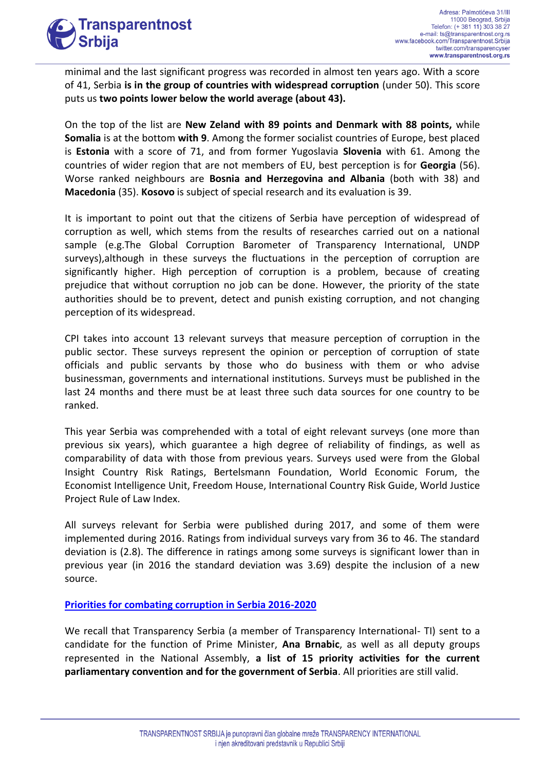

minimal and the last significant progress was recorded in almost ten years ago. With a score of 41, Serbia **is in the group of countries with widespread corruption** (under 50). This score puts us **two points lower below the world average (about 43).**

On the top of the list are **New Zeland with 89 points and Denmark with 88 points,** while **Somalia** is at the bottom **with 9**. Among the former socialist countries of Europe, best placed is **Estonia** with a score of 71, and from former Yugoslavia **Slovenia** with 61. Among the countries of wider region that are not members of EU, best perception is for **Georgia** (56). Worse ranked neighbours are **Bosnia and Herzegovina and Albania** (both with 38) and **Macedonia** (35). **Kosovo** is subject of special research and its evaluation is 39.

It is important to point out that the citizens of Serbia have perception of widespread of corruption as well, which stems from the results of researches carried out on a national sample (e.g.The Global Corruption Barometer of Transparency International, UNDP surveys),although in these surveys the fluctuations in the perception of corruption are significantly higher. High perception of corruption is a problem, because of creating prejudice that without corruption no job can be done. However, the priority of the state authorities should be to prevent, detect and punish existing corruption, and not changing perception of its widespread.

CPI takes into account 13 relevant surveys that measure perception of corruption in the public sector. These surveys represent the opinion or perception of corruption of state officials and public servants by those who do business with them or who advise businessman, governments and international institutions. Surveys must be published in the last 24 months and there must be at least three such data sources for one country to be ranked.

This year Serbia was comprehended with a total of eight relevant surveys (one more than previous six years), which guarantee a high degree of reliability of findings, as well as comparability of data with those from previous years. Surveys used were from the Global Insight Country Risk Ratings, Bertelsmann Foundation, World Economic Forum, the Economist Intelligence Unit, Freedom House, International Country Risk Guide, World Justice Project Rule of Law Index.

All surveys relevant for Serbia were published during 2017, and some of them were implemented during 2016. Ratings from individual surveys vary from 36 to 46. The standard deviation is (2.8). The difference in ratings among some surveys is significant lower than in previous year (in 2016 the standard deviation was 3.69) despite the inclusion of a new source.

## **[Priorities for combating corruption in Serbia 2016-2020](http://www.transparentnost.org.rs/images/dokumenti_uz_vesti/TS_predlozi_za_novu_skupstinu_i_vladu_%202017.docx)**

We recall that Transparency Serbia (a member of Transparency International- TI) sent to a candidate for the function of Prime Minister, **Ana Brnabic**, as well as all deputy groups represented in the National Assembly, **a list of 15 priority activities for the current parliamentary convention and for the government of Serbia**. All priorities are still valid.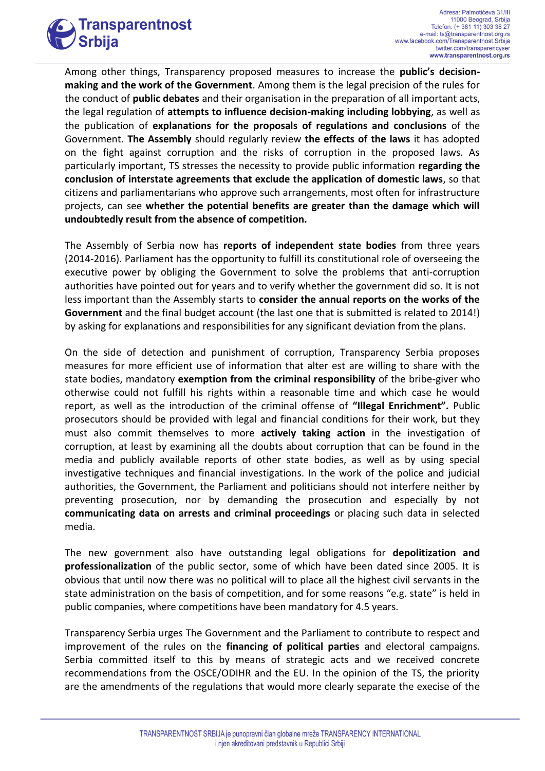

Among other things, Transparency proposed measures to increase the **public's decisionmaking and the work of the Government**. Among them is the legal precision of the rules for the conduct of **public debates** and their organisation in the preparation of all important acts, the legal regulation of **attempts to influence decision-making including lobbying**, as well as the publication of **explanations for the proposals of regulations and conclusions** of the Government. **The Assembly** should regularly review **the effects of the laws** it has adopted on the fight against corruption and the risks of corruption in the proposed laws. As particularly important, TS stresses the necessity to provide public information **regarding the conclusion of interstate agreements that exclude the application of domestic laws**, so that citizens and parliamentarians who approve such arrangements, most often for infrastructure projects, can see **whether the potential benefits are greater than the damage which will undoubtedly result from the absence of competition.**

The Assembly of Serbia now has **reports of independent state bodies** from three years (2014-2016). Parliament has the opportunity to fulfill its constitutional role of overseeing the executive power by obliging the Government to solve the problems that anti-corruption authorities have pointed out for years and to verify whether the government did so. It is not less important than the Assembly starts to **consider the annual reports on the works of the Government** and the final budget account (the last one that is submitted is related to 2014!) by asking for explanations and responsibilities for any significant deviation from the plans.

On the side of detection and punishment of corruption, Transparency Serbia proposes measures for more efficient use of information that alter est are willing to share with the state bodies, mandatory **exemption from the criminal responsibility** of the bribe-giver who otherwise could not fulfill his rights within a reasonable time and which case he would report, as well as the introduction of the criminal offense of **"Illegal Enrichment".** Public prosecutors should be provided with legal and financial conditions for their work, but they must also commit themselves to more **actively taking action** in the investigation of corruption, at least by examining all the doubts about corruption that can be found in the media and publicly available reports of other state bodies, as well as by using special investigative techniques and financial investigations. In the work of the police and judicial authorities, the Government, the Parliament and politicians should not interfere neither by preventing prosecution, nor by demanding the prosecution and especially by not **communicating data on arrests and criminal proceedings** or placing such data in selected media.

The new government also have outstanding legal obligations for **depolitization and professionalization** of the public sector, some of which have been dated since 2005. It is obvious that until now there was no political will to place all the highest civil servants in the state administration on the basis of competition, and for some reasons "e.g. state" is held in public companies, where competitions have been mandatory for 4.5 years.

Transparency Serbia urges The Government and the Parliament to contribute to respect and improvement of the rules on the **financing of political parties** and electoral campaigns. Serbia committed itself to this by means of strategic acts and we received concrete recommendations from the OSCE/ODIHR and the EU. In the opinion of the TS, the priority are the amendments of the regulations that would more clearly separate the execise of the